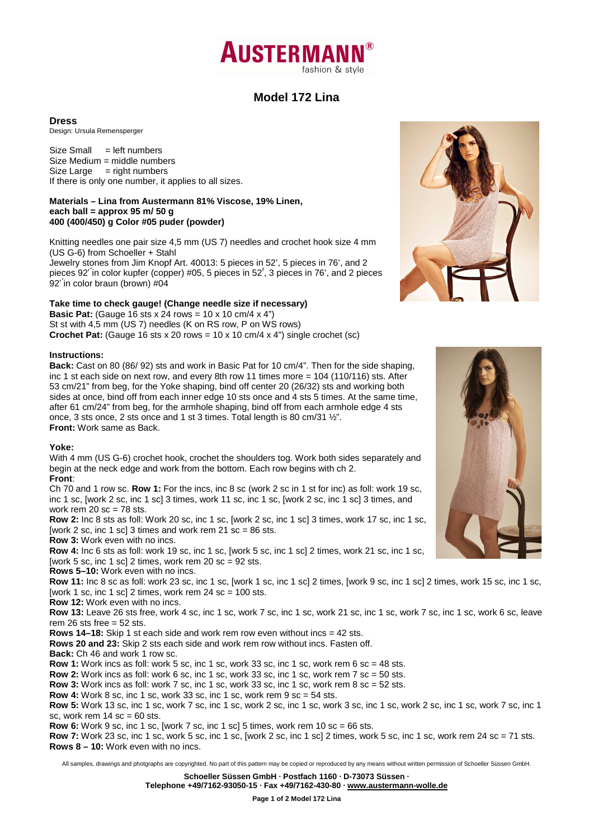

# **Model 172 Lina**

#### **Dress**

Design: Ursula Remensperger

 $Size Small = left numbers$ Size Medium = middle numbers  $Size Large = right numbers$ If there is only one number, it applies to all sizes.

#### **Materials – Lina from Austermann 81% Viscose, 19% Linen, each ball = approx 95 m/ 50 g 400 (400/450) g Color #05 puder (powder)**

Knitting needles one pair size 4,5 mm (US 7) needles and crochet hook size 4 mm (US G-6) from Schoeller + Stahl

Jewelry stones from Jim Knopf Art. 40013: 5 pieces in 52', 5 pieces in 76', and 2 pieces 92' ́in color kupfer (copper) #05, 5 pieces in 52'́, 3 pieces in 76', and 2 pieces 92' ́in color braun (brown) #04

## **Take time to check gauge! (Change needle size if necessary)**

**Basic Pat:** (Gauge 16 sts x 24 rows = 10 x 10 cm/4 x 4") St st with 4,5 mm (US 7) needles (K on RS row, P on WS rows) **Crochet Pat:** (Gauge 16 sts x 20 rows =  $10 \times 10$  cm/4 x 4") single crochet (sc)

#### **Instructions:**

**Back:** Cast on 80 (86/ 92) sts and work in Basic Pat for 10 cm/4". Then for the side shaping, inc 1 st each side on next row, and every 8th row 11 times more = 104 (110/116) sts. After 53 cm/21" from beg, for the Yoke shaping, bind off center 20 (26/32) sts and working both sides at once, bind off from each inner edge 10 sts once and 4 sts 5 times. At the same time, after 61 cm/24" from beg, for the armhole shaping, bind off from each armhole edge 4 sts once, 3 sts once, 2 sts once and 1 st 3 times. Total length is 80 cm/31 ½". **Front:** Work same as Back.

## **Yoke:**

With 4 mm (US G-6) crochet hook, crochet the shoulders tog. Work both sides separately and begin at the neck edge and work from the bottom. Each row begins with ch 2. **Front**:

Ch 70 and 1 row sc. **Row 1:** For the incs, inc 8 sc (work 2 sc in 1 st for inc) as foll: work 19 sc, inc 1 sc, [work 2 sc, inc 1 sc] 3 times, work 11 sc, inc 1 sc, [work 2 sc, inc 1 sc] 3 times, and work rem  $20$  sc = 78 sts.

**Row 2:** Inc 8 sts as foll: Work 20 sc, inc 1 sc, [work 2 sc, inc 1 sc] 3 times, work 17 sc, inc 1 sc, [work 2 sc, inc 1 sc] 3 times and work rem 21 sc =  $86$  sts.

**Row 3:** Work even with no incs.

**Row 4:** Inc 6 sts as foll: work 19 sc, inc 1 sc, [work 5 sc, inc 1 sc] 2 times, work 21 sc, inc 1 sc, [work 5 sc, inc 1 sc] 2 times, work rem 20 sc =  $92$  sts.

**Rows 5–10:** Work even with no incs.

**Row 11:** Inc 8 sc as foll: work 23 sc, inc 1 sc, [work 1 sc, inc 1 sc] 2 times, [work 9 sc, inc 1 sc] 2 times, work 15 sc, inc 1 sc, [work 1 sc, inc 1 sc] 2 times, work rem  $24$  sc = 100 sts.

**Row 12:** Work even with no incs.

**Row 13:** Leave 26 sts free, work 4 sc, inc 1 sc, work 7 sc, inc 1 sc, work 21 sc, inc 1 sc, work 7 sc, inc 1 sc, work 6 sc, leave rem 26 sts free  $= 52$  sts.

**Rows 14–18:** Skip 1 st each side and work rem row even without incs = 42 sts.

**Rows 20 and 23:** Skip 2 sts each side and work rem row without incs. Fasten off.

**Back:** Ch 46 and work 1 row sc.

**Row 1:** Work incs as foll: work 5 sc, inc 1 sc, work 33 sc, inc 1 sc, work rem 6 sc = 48 sts.

**Row 2:** Work incs as foll: work 6 sc, inc 1 sc, work 33 sc, inc 1 sc, work rem 7 sc = 50 sts.

**Row 3:** Work incs as foll: work 7 sc, inc 1 sc, work 33 sc, inc 1 sc, work rem 8 sc = 52 sts.

**Row 4:** Work 8 sc, inc 1 sc, work 33 sc, inc 1 sc, work rem 9 sc = 54 sts.

**Row 5:** Work 13 sc, inc 1 sc, work 7 sc, inc 1 sc, work 2 sc, inc 1 sc, work 3 sc, inc 1 sc, work 2 sc, inc 1 sc, work 7 sc, inc 1 sc, work rem  $14$  sc = 60 sts.

**Row 6:** Work 9 sc, inc 1 sc, [work 7 sc, inc 1 sc] 5 times, work rem 10 sc = 66 sts.

**Row 7:** Work 23 sc, inc 1 sc, work 5 sc, inc 1 sc, [work 2 sc, inc 1 sc] 2 times, work 5 sc, inc 1 sc, work rem 24 sc = 71 sts. **Rows 8 – 10:** Work even with no incs.

All samples, drawings and photgraphs are copyrighted. No part of this pattern may be copied or reproduced by any means without written permission of Schoeller Süssen GmbH.

**Schoeller Süssen GmbH · Postfach 1160 · D-73073 Süssen ·**

**Telephone +49/7162-93050-15 · Fax +49/7162-430-80 · www.austermann-wolle.de**